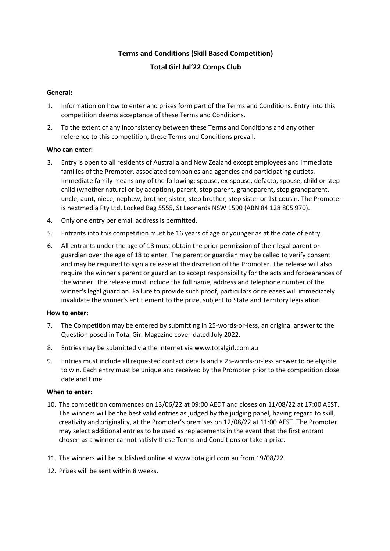# **Terms and Conditions (Skill Based Competition) Total Girl Jul'22 Comps Club**

## **General:**

- 1. Information on how to enter and prizes form part of the Terms and Conditions. Entry into this competition deems acceptance of these Terms and Conditions.
- 2. To the extent of any inconsistency between these Terms and Conditions and any other reference to this competition, these Terms and Conditions prevail.

## **Who can enter:**

- 3. Entry is open to all residents of Australia and New Zealand except employees and immediate families of the Promoter, associated companies and agencies and participating outlets. Immediate family means any of the following: spouse, ex-spouse, defacto, spouse, child or step child (whether natural or by adoption), parent, step parent, grandparent, step grandparent, uncle, aunt, niece, nephew, brother, sister, step brother, step sister or 1st cousin. The Promoter is nextmedia Pty Ltd, Locked Bag 5555, St Leonards NSW 1590 (ABN 84 128 805 970).
- 4. Only one entry per email address is permitted.
- 5. Entrants into this competition must be 16 years of age or younger as at the date of entry.
- 6. All entrants under the age of 18 must obtain the prior permission of their legal parent or guardian over the age of 18 to enter. The parent or guardian may be called to verify consent and may be required to sign a release at the discretion of the Promoter. The release will also require the winner's parent or guardian to accept responsibility for the acts and forbearances of the winner. The release must include the full name, address and telephone number of the winner's legal guardian. Failure to provide such proof, particulars or releases will immediately invalidate the winner's entitlement to the prize, subject to State and Territory legislation.

## **How to enter:**

- 7. The Competition may be entered by submitting in 25-words-or-less, an original answer to the Question posed in Total Girl Magazine cover-dated July 2022.
- 8. Entries may be submitted via the internet via www.totalgirl.com.au
- 9. Entries must include all requested contact details and a 25-words-or-less answer to be eligible to win. Each entry must be unique and received by the Promoter prior to the competition close date and time.

## **When to enter:**

- 10. The competition commences on 13/06/22 at 09:00 AEDT and closes on 11/08/22 at 17:00 AEST. The winners will be the best valid entries as judged by the judging panel, having regard to skill, creativity and originality, at the Promoter's premises on 12/08/22 at 11:00 AEST. The Promoter may select additional entries to be used as replacements in the event that the first entrant chosen as a winner cannot satisfy these Terms and Conditions or take a prize.
- 11. The winners will be published online at www.totalgirl.com.au from 19/08/22.
- 12. Prizes will be sent within 8 weeks.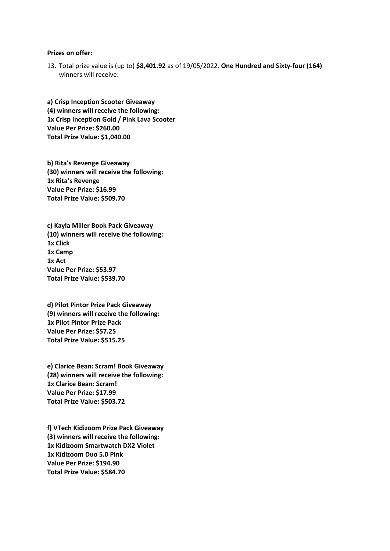#### **Prizes on offer:**

13. Total prize value is (up to) **\$8,401.92** as of 19/05/2022. **One Hundred and Sixty-four (164)**  winners will receive:

**a) Crisp Inception Scooter Giveaway (4) winners will receive the following: 1x Crisp Inception Gold / Pink Lava Scooter Value Per Prize: \$260.00 Total Prize Value: \$1,040.00**

**b) Rita's Revenge Giveaway (30) winners will receive the following: 1x Rita's Revenge Value Per Prize: \$16.99 Total Prize Value: \$509.70**

**c) Kayla Miller Book Pack Giveaway (10) winners will receive the following: 1x Click 1x Camp 1x Act Value Per Prize: \$53.97 Total Prize Value: \$539.70**

**d) Pilot Pintor Prize Pack Giveaway (9) winners will receive the following: 1x Pilot Pintor Prize Pack Value Per Prize: \$57.25 Total Prize Value: \$515.25**

**e) Clarice Bean: Scram! Book Giveaway (28) winners will receive the following: 1x Clarice Bean: Scram! Value Per Prize: \$17.99 Total Prize Value: \$503.72**

**f) VTech Kidizoom Prize Pack Giveaway (3) winners will receive the following: 1x Kidizoom Smartwatch DX2 Violet 1x Kidizoom Duo 5.0 Pink Value Per Prize: \$194.90 Total Prize Value: \$584.70**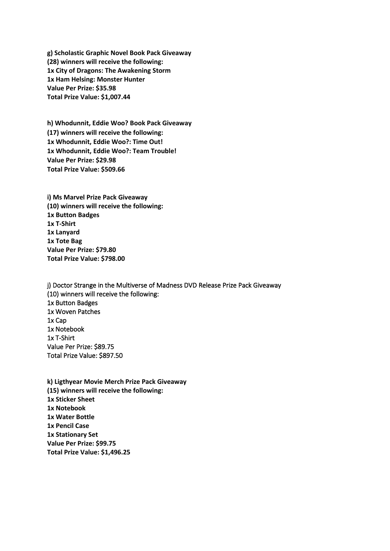**g) Scholastic Graphic Novel Book Pack Giveaway (28) winners will receive the following: 1x City of Dragons: The Awakening Storm 1x Ham Helsing: Monster Hunter Value Per Prize: \$35.98 Total Prize Value: \$1,007.44**

**h) Whodunnit, Eddie Woo? Book Pack Giveaway (17) winners will receive the following: 1x Whodunnit, Eddie Woo?: Time Out! 1x Whodunnit, Eddie Woo?: Team Trouble! Value Per Prize: \$29.98 Total Prize Value: \$509.66**

**i) Ms Marvel Prize Pack Giveaway (10) winners will receive the following: 1x Button Badges 1x T-Shirt 1x Lanyard 1x Tote Bag Value Per Prize: \$79.80 Total Prize Value: \$798.00**

j) Doctor Strange in the Multiverse of Madness DVD Release Prize Pack Giveaway (10) winners will receive the following: 1x Button Badges 1x Woven Patches 1x Cap 1x Notebook 1x T-Shirt Value Per Prize: \$89.75 Total Prize Value: \$897.50

**k) Ligthyear Movie Merch Prize Pack Giveaway (15) winners will receive the following: 1x Sticker Sheet 1x Notebook 1x Water Bottle 1x Pencil Case 1x Stationary Set Value Per Prize: \$99.75 Total Prize Value: \$1,496.25**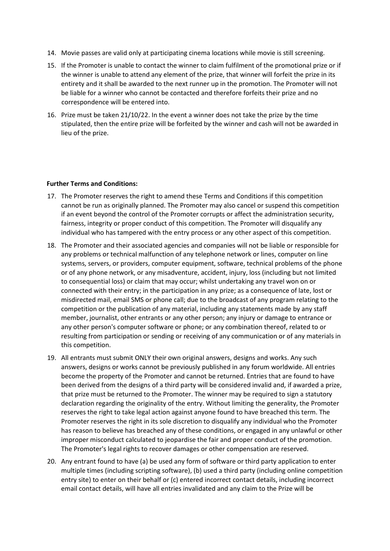- 14. Movie passes are valid only at participating cinema locations while movie is still screening.
- 15. If the Promoter is unable to contact the winner to claim fulfilment of the promotional prize or if the winner is unable to attend any element of the prize, that winner will forfeit the prize in its entirety and it shall be awarded to the next runner up in the promotion. The Promoter will not be liable for a winner who cannot be contacted and therefore forfeits their prize and no correspondence will be entered into.
- 16. Prize must be taken 21/10/22. In the event a winner does not take the prize by the time stipulated, then the entire prize will be forfeited by the winner and cash will not be awarded in lieu of the prize.

#### **Further Terms and Conditions:**

- 17. The Promoter reserves the right to amend these Terms and Conditions if this competition cannot be run as originally planned. The Promoter may also cancel or suspend this competition if an event beyond the control of the Promoter corrupts or affect the administration security, fairness, integrity or proper conduct of this competition. The Promoter will disqualify any individual who has tampered with the entry process or any other aspect of this competition.
- 18. The Promoter and their associated agencies and companies will not be liable or responsible for any problems or technical malfunction of any telephone network or lines, computer on line systems, servers, or providers, computer equipment, software, technical problems of the phone or of any phone network, or any misadventure, accident, injury, loss (including but not limited to consequential loss) or claim that may occur; whilst undertaking any travel won on or connected with their entry; in the participation in any prize; as a consequence of late, lost or misdirected mail, email SMS or phone call; due to the broadcast of any program relating to the competition or the publication of any material, including any statements made by any staff member, journalist, other entrants or any other person; any injury or damage to entrance or any other person's computer software or phone; or any combination thereof, related to or resulting from participation or sending or receiving of any communication or of any materials in this competition.
- 19. All entrants must submit ONLY their own original answers, designs and works. Any such answers, designs or works cannot be previously published in any forum worldwide. All entries become the property of the Promoter and cannot be returned. Entries that are found to have been derived from the designs of a third party will be considered invalid and, if awarded a prize, that prize must be returned to the Promoter. The winner may be required to sign a statutory declaration regarding the originality of the entry. Without limiting the generality, the Promoter reserves the right to take legal action against anyone found to have breached this term. The Promoter reserves the right in its sole discretion to disqualify any individual who the Promoter has reason to believe has breached any of these conditions, or engaged in any unlawful or other improper misconduct calculated to jeopardise the fair and proper conduct of the promotion. The Promoter's legal rights to recover damages or other compensation are reserved.
- 20. Any entrant found to have (a) be used any form of software or third party application to enter multiple times (including scripting software), (b) used a third party (including online competition entry site) to enter on their behalf or (c) entered incorrect contact details, including incorrect email contact details, will have all entries invalidated and any claim to the Prize will be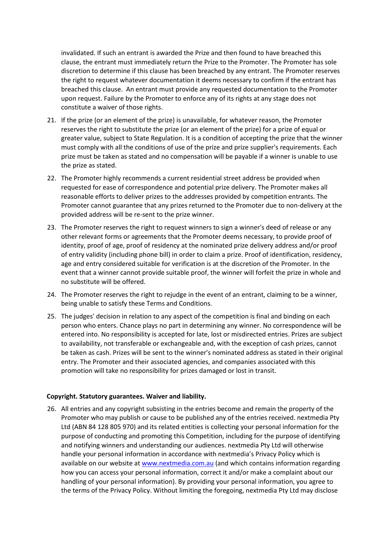invalidated. If such an entrant is awarded the Prize and then found to have breached this clause, the entrant must immediately return the Prize to the Promoter. The Promoter has sole discretion to determine if this clause has been breached by any entrant. The Promoter reserves the right to request whatever documentation it deems necessary to confirm if the entrant has breached this clause. An entrant must provide any requested documentation to the Promoter upon request. Failure by the Promoter to enforce any of its rights at any stage does not constitute a waiver of those rights.

- 21. If the prize (or an element of the prize) is unavailable, for whatever reason, the Promoter reserves the right to substitute the prize (or an element of the prize) for a prize of equal or greater value, subject to State Regulation. It is a condition of accepting the prize that the winner must comply with all the conditions of use of the prize and prize supplier's requirements. Each prize must be taken as stated and no compensation will be payable if a winner is unable to use the prize as stated.
- 22. The Promoter highly recommends a current residential street address be provided when requested for ease of correspondence and potential prize delivery. The Promoter makes all reasonable efforts to deliver prizes to the addresses provided by competition entrants. The Promoter cannot guarantee that any prizes returned to the Promoter due to non-delivery at the provided address will be re-sent to the prize winner.
- 23. The Promoter reserves the right to request winners to sign a winner's deed of release or any other relevant forms or agreements that the Promoter deems necessary, to provide proof of identity, proof of age, proof of residency at the nominated prize delivery address and/or proof of entry validity (including phone bill) in order to claim a prize. Proof of identification, residency, age and entry considered suitable for verification is at the discretion of the Promoter. In the event that a winner cannot provide suitable proof, the winner will forfeit the prize in whole and no substitute will be offered.
- 24. The Promoter reserves the right to rejudge in the event of an entrant, claiming to be a winner, being unable to satisfy these Terms and Conditions.
- 25. The judges' decision in relation to any aspect of the competition is final and binding on each person who enters. Chance plays no part in determining any winner. No correspondence will be entered into. No responsibility is accepted for late, lost or misdirected entries. Prizes are subject to availability, not transferable or exchangeable and, with the exception of cash prizes, cannot be taken as cash. Prizes will be sent to the winner's nominated address as stated in their original entry. The Promoter and their associated agencies, and companies associated with this promotion will take no responsibility for prizes damaged or lost in transit.

## **Copyright. Statutory guarantees. Waiver and liability.**

26. All entries and any copyright subsisting in the entries become and remain the property of the Promoter who may publish or cause to be published any of the entries received. nextmedia Pty Ltd (ABN 84 128 805 970) and its related entities is collecting your personal information for the purpose of conducting and promoting this Competition, including for the purpose of identifying and notifying winners and understanding our audiences. nextmedia Pty Ltd will otherwise handle your personal information in accordance with nextmedia's Privacy Policy which is available on our website a[t www.nextmedia.com.au](http://www.nextmedia.com.au/) (and which contains information regarding how you can access your personal information, correct it and/or make a complaint about our handling of your personal information). By providing your personal information, you agree to the terms of the Privacy Policy. Without limiting the foregoing, nextmedia Pty Ltd may disclose